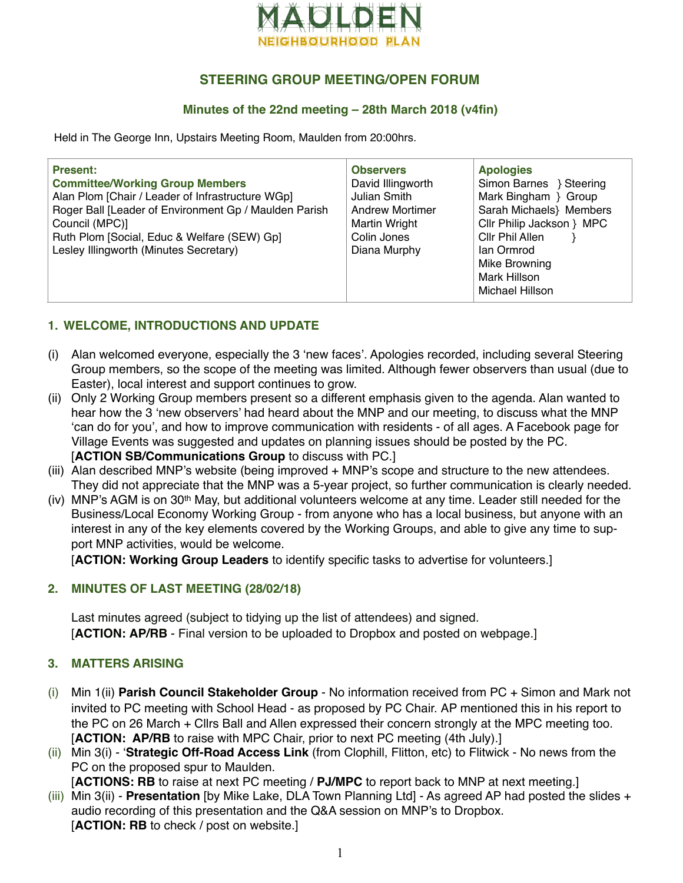

# **STEERING GROUP MEETING/OPEN FORUM**

### **Minutes of the 22nd meeting – 28th March 2018 (v4fin)**

Held in The George Inn, Upstairs Meeting Room, Maulden from 20:00hrs.

| <b>Present:</b><br><b>Committee/Working Group Members</b><br>Alan Plom [Chair / Leader of Infrastructure WGp]<br>Roger Ball [Leader of Environment Gp / Maulden Parish<br>Council (MPC)]<br>Ruth Plom [Social, Educ & Welfare (SEW) Gp]<br>Lesley Illingworth (Minutes Secretary) | <b>Observers</b><br>David Illingworth<br>Julian Smith<br><b>Andrew Mortimer</b><br>Martin Wright<br>Colin Jones<br>Diana Murphy | <b>Apologies</b><br>Simon Barnes } Steering<br>Mark Bingham } Group<br>Sarah Michaels} Members<br>Cllr Philip Jackson } MPC<br>Cllr Phil Allen<br>lan Ormrod<br>Mike Browning |
|-----------------------------------------------------------------------------------------------------------------------------------------------------------------------------------------------------------------------------------------------------------------------------------|---------------------------------------------------------------------------------------------------------------------------------|-------------------------------------------------------------------------------------------------------------------------------------------------------------------------------|
|                                                                                                                                                                                                                                                                                   |                                                                                                                                 | Mark Hillson<br>Michael Hillson                                                                                                                                               |

## **1. WELCOME, INTRODUCTIONS AND UPDATE**

- (i) Alan welcomed everyone, especially the 3 'new faces'. Apologies recorded, including several Steering Group members, so the scope of the meeting was limited. Although fewer observers than usual (due to Easter), local interest and support continues to grow.
- (ii) Only 2 Working Group members present so a different emphasis given to the agenda. Alan wanted to hear how the 3 'new observers' had heard about the MNP and our meeting, to discuss what the MNP 'can do for you', and how to improve communication with residents - of all ages. A Facebook page for Village Events was suggested and updates on planning issues should be posted by the PC. [**ACTION SB/Communications Group** to discuss with PC.]
- (iii) Alan described MNP's website (being improved + MNP's scope and structure to the new attendees. They did not appreciate that the MNP was a 5-year project, so further communication is clearly needed.
- (iv) MNP's AGM is on 30th May, but additional volunteers welcome at any time. Leader still needed for the Business/Local Economy Working Group - from anyone who has a local business, but anyone with an interest in any of the key elements covered by the Working Groups, and able to give any time to support MNP activities, would be welcome.

[**ACTION: Working Group Leaders** to identify specific tasks to advertise for volunteers.]

## **2. MINUTES OF LAST MEETING (28/02/18)**

Last minutes agreed (subject to tidying up the list of attendees) and signed. [**ACTION: AP/RB** - Final version to be uploaded to Dropbox and posted on webpage.]

## **3. MATTERS ARISING**

- (i) Min 1(ii) **Parish Council Stakeholder Group** No information received from PC + Simon and Mark not invited to PC meeting with School Head - as proposed by PC Chair. AP mentioned this in his report to the PC on 26 March + Cllrs Ball and Allen expressed their concern strongly at the MPC meeting too. [**ACTION: AP/RB** to raise with MPC Chair, prior to next PC meeting (4th July).]
- (ii) Min 3(i) '**Strategic Off-Road Access Link** (from Clophill, Flitton, etc) to Flitwick No news from the PC on the proposed spur to Maulden.

[**ACTIONS: RB** to raise at next PC meeting / **PJ/MPC** to report back to MNP at next meeting.]

(iii) Min 3(ii) - **Presentation** [by Mike Lake, DLA Town Planning Ltd] - As agreed AP had posted the slides + audio recording of this presentation and the Q&A session on MNP's to Dropbox. [**ACTION: RB** to check / post on website.]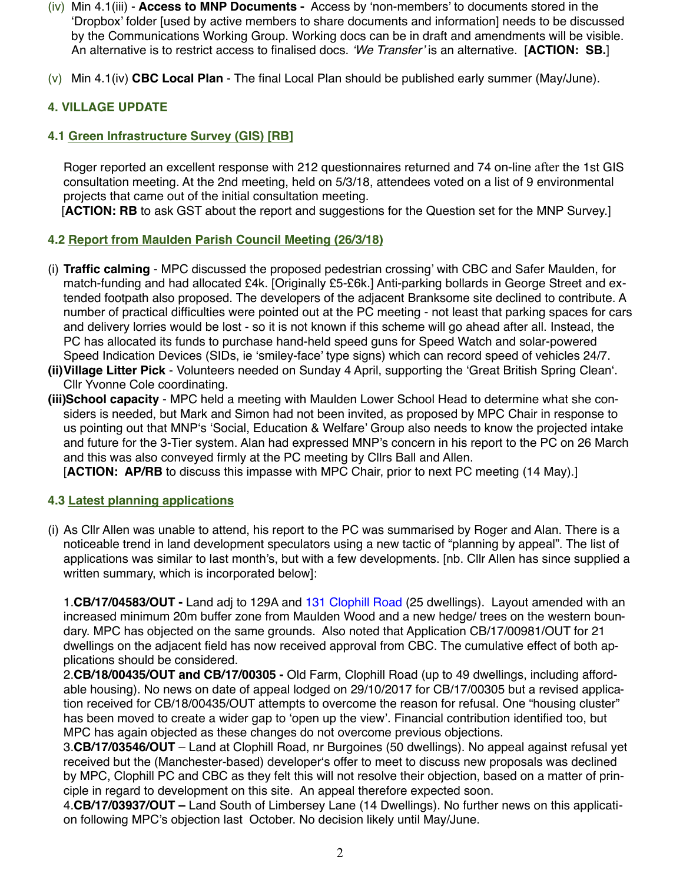- (iv) Min 4.1(iii) - **Access to MNP Documents** Access by 'non-members' to documents stored in the 'Dropbox' folder [used by active members to share documents and information] needs to be discussed by the Communications Working Group. Working docs can be in draft and amendments will be visible. An alternative is to restrict access to finalised docs. *'We Transfer'* is an alternative. [**ACTION: SB.**]
- (v) Min 4.1(iv) **CBC Local Plan** The final Local Plan should be published early summer (May/June).

## **4. VILLAGE UPDATE**

#### **4.1 Green Infrastructure Survey (GIS) [RB]**

Roger reported an excellent response with 212 questionnaires returned and 74 on-line after the 1st GIS consultation meeting. At the 2nd meeting, held on 5/3/18, attendees voted on a list of 9 environmental projects that came out of the initial consultation meeting.

[ACTION: RB to ask GST about the report and suggestions for the Question set for the MNP Survey.]

#### **4.2 Report from Maulden Parish Council Meeting (26/3/18)**

- (i) **Traffic calming** MPC discussed the proposed pedestrian crossing' with CBC and Safer Maulden, for match-funding and had allocated £4k. [Originally £5-£6k.] Anti-parking bollards in George Street and extended footpath also proposed. The developers of the adjacent Branksome site declined to contribute. A number of practical difficulties were pointed out at the PC meeting - not least that parking spaces for cars and delivery lorries would be lost - so it is not known if this scheme will go ahead after all. Instead, the PC has allocated its funds to purchase hand-held speed guns for Speed Watch and solar-powered Speed Indication Devices (SIDs, ie 'smiley-face' type signs) which can record speed of vehicles 24/7.
- **(ii)Village Litter Pick**  Volunteers needed on Sunday 4 April, supporting the 'Great British Spring Clean'. Cllr Yvonne Cole coordinating.
- **(iii)School capacity**  MPC held a meeting with Maulden Lower School Head to determine what she considers is needed, but Mark and Simon had not been invited, as proposed by MPC Chair in response to us pointing out that MNP's 'Social, Education & Welfare' Group also needs to know the projected intake and future for the 3-Tier system. Alan had expressed MNP's concern in his report to the PC on 26 March and this was also conveyed firmly at the PC meeting by Cllrs Ball and Allen.

[ACTION: AP/RB to discuss this impasse with MPC Chair, prior to next PC meeting (14 May).]

#### **4.3 Latest planning applications**

(i) As Cllr Allen was unable to attend, his report to the PC was summarised by Roger and Alan. There is a noticeable trend in land development speculators using a new tactic of "planning by appeal". The list of applications was similar to last month's, but with a few developments. [nb. Cllr Allen has since supplied a written summary, which is incorporated below]:

1.**CB/17/04583/OUT -** Land adj to 129A and [131 Clophill Road](https://maps.google.com/?q=131+Clophill+Road+,%250D%250AMaulden,++Bedford+.%250D%250AMK45+2AE&entry=gmail&source=g) (25 dwellings). Layout amended with an increased minimum 20m buffer zone from Maulden Wood and a new hedge/ trees on the western boundary. MPC has objected on the same grounds. Also noted that Application CB/17/00981/OUT for 21 dwellings on the adjacent field has now received approval from CBC. The cumulative effect of both applications should be considered.

2.**CB/18/00435/OUT and CB/17/00305 -** Old Farm, Clophill Road (up to 49 dwellings, including affordable housing). No news on date of appeal lodged on 29/10/2017 for CB/17/00305 but a revised application received for CB/18/00435/OUT attempts to overcome the reason for refusal. One "housing cluster" has been moved to create a wider gap to 'open up the view'. Financial contribution identified too, but MPC has again objected as these changes do not overcome previous objections.

3.**CB/17/03546/OUT** – Land at Clophill Road, nr Burgoines (50 dwellings). No appeal against refusal yet received but the (Manchester-based) developer's offer to meet to discuss new proposals was declined by MPC, Clophill PC and CBC as they felt this will not resolve their objection, based on a matter of principle in regard to development on this site. An appeal therefore expected soon.

4.**CB/17/03937/OUT –** Land South of Limbersey Lane (14 Dwellings). No further news on this application following MPC's objection last October. No decision likely until May/June.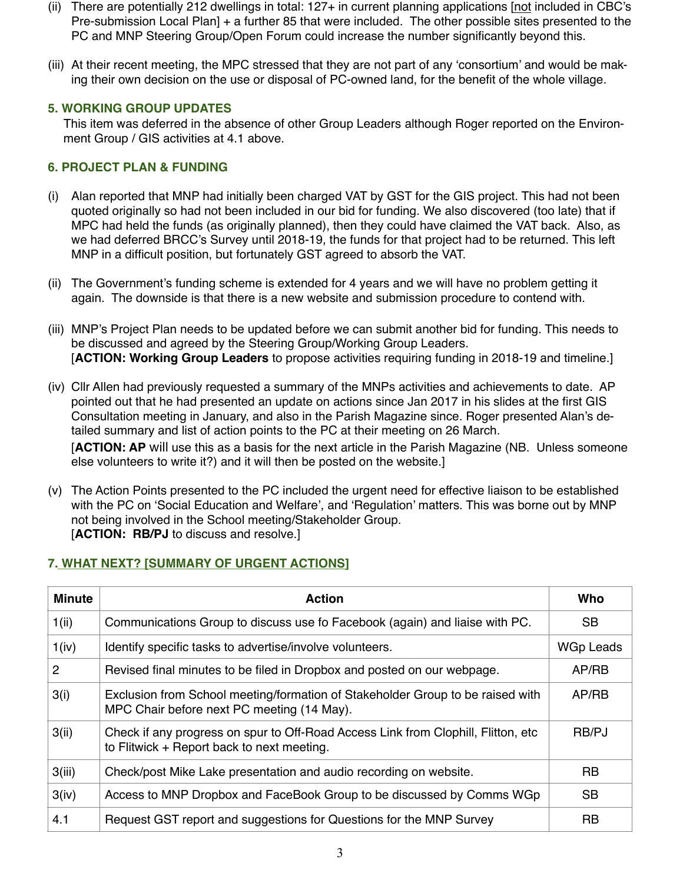- (ii) There are potentially 212 dwellings in total: 127+ in current planning applications [not included in CBC's Pre-submission Local Plan] + a further 85 that were included. The other possible sites presented to the PC and MNP Steering Group/Open Forum could increase the number significantly beyond this.
- (iii) At their recent meeting, the MPC stressed that they are not part of any 'consortium' and would be making their own decision on the use or disposal of PC-owned land, for the benefit of the whole village.

#### **5. WORKING GROUP UPDATES**

This item was deferred in the absence of other Group Leaders although Roger reported on the Environment Group / GIS activities at 4.1 above.

### **6. PROJECT PLAN & FUNDING**

- (i) Alan reported that MNP had initially been charged VAT by GST for the GIS project. This had not been quoted originally so had not been included in our bid for funding. We also discovered (too late) that if MPC had held the funds (as originally planned), then they could have claimed the VAT back. Also, as we had deferred BRCC's Survey until 2018-19, the funds for that project had to be returned. This left MNP in a difficult position, but fortunately GST agreed to absorb the VAT.
- (ii) The Government's funding scheme is extended for 4 years and we will have no problem getting it again. The downside is that there is a new website and submission procedure to contend with.
- (iii) MNP's Project Plan needs to be updated before we can submit another bid for funding. This needs to be discussed and agreed by the Steering Group/Working Group Leaders. [**ACTION: Working Group Leaders** to propose activities requiring funding in 2018-19 and timeline.]
- (iv) Cllr Allen had previously requested a summary of the MNPs activities and achievements to date. AP pointed out that he had presented an update on actions since Jan 2017 in his slides at the first GIS Consultation meeting in January, and also in the Parish Magazine since. Roger presented Alan's detailed summary and list of action points to the PC at their meeting on 26 March. [**ACTION: AP** will use this as a basis for the next article in the Parish Magazine (NB. Unless someone else volunteers to write it?) and it will then be posted on the website.]
- (v) The Action Points presented to the PC included the urgent need for effective liaison to be established with the PC on 'Social Education and Welfare', and 'Regulation' matters. This was borne out by MNP not being involved in the School meeting/Stakeholder Group. [**ACTION: RB/PJ** to discuss and resolve.]

# **7. WHAT NEXT? [SUMMARY OF URGENT ACTIONS]**

| <b>Minute</b> | <b>Action</b>                                                                                                                    | Who              |
|---------------|----------------------------------------------------------------------------------------------------------------------------------|------------------|
| 1(i)          | Communications Group to discuss use fo Facebook (again) and liaise with PC.                                                      | <b>SB</b>        |
| 1(iv)         | Identify specific tasks to advertise/involve volunteers.                                                                         | <b>WGp Leads</b> |
| 2             | Revised final minutes to be filed in Dropbox and posted on our webpage.                                                          | AP/RB            |
| 3(i)          | Exclusion from School meeting/formation of Stakeholder Group to be raised with<br>MPC Chair before next PC meeting (14 May).     | AP/RB            |
| 3(ii)         | Check if any progress on spur to Off-Road Access Link from Clophill, Flitton, etc.<br>to Flitwick + Report back to next meeting. | RB/PJ            |
| 3(iii)        | Check/post Mike Lake presentation and audio recording on website.                                                                | RB               |
| 3(iv)         | Access to MNP Dropbox and FaceBook Group to be discussed by Comms WGp                                                            | <b>SB</b>        |
| 4.1           | Request GST report and suggestions for Questions for the MNP Survey                                                              | RB               |